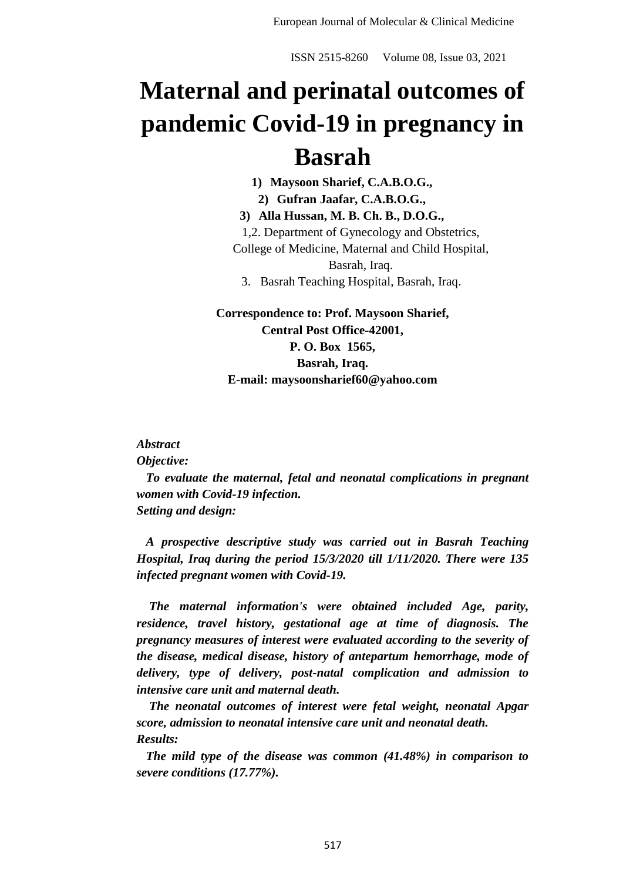# **Maternal and perinatal outcomes of pandemic Covid-19 in pregnancy in Basrah**

**1) Maysoon Sharief, C.A.B.O.G., 2) Gufran Jaafar, C.A.B.O.G.,**

**3) Alla Hussan, M. B. Ch. B., D.O.G.,** 1,2. Department of Gynecology and Obstetrics, College of Medicine, Maternal and Child Hospital, Basrah, Iraq. 3. Basrah Teaching Hospital, Basrah, Iraq.

**Correspondence to: Prof. Maysoon Sharief, Central Post Office-42001, P. O. Box 1565, Basrah, Iraq. E-mail: maysoonsharief60@yahoo.com**

#### *Abstract*

*Objective:*

 *To evaluate the maternal, fetal and neonatal complications in pregnant women with Covid-19 infection. Setting and design:*

 *A prospective descriptive study was carried out in Basrah Teaching Hospital, Iraq during the period 15/3/2020 till 1/11/2020. There were 135 infected pregnant women with Covid-19.*

 *The maternal information's were obtained included Age, parity, residence, travel history, gestational age at time of diagnosis. The pregnancy measures of interest were evaluated according to the severity of the disease, medical disease, history of antepartum hemorrhage, mode of delivery, type of delivery, post-natal complication and admission to intensive care unit and maternal death.*

 *The neonatal outcomes of interest were fetal weight, neonatal Apgar score, admission to neonatal intensive care unit and neonatal death. Results:*

 *The mild type of the disease was common (41.48%) in comparison to severe conditions (17.77%).*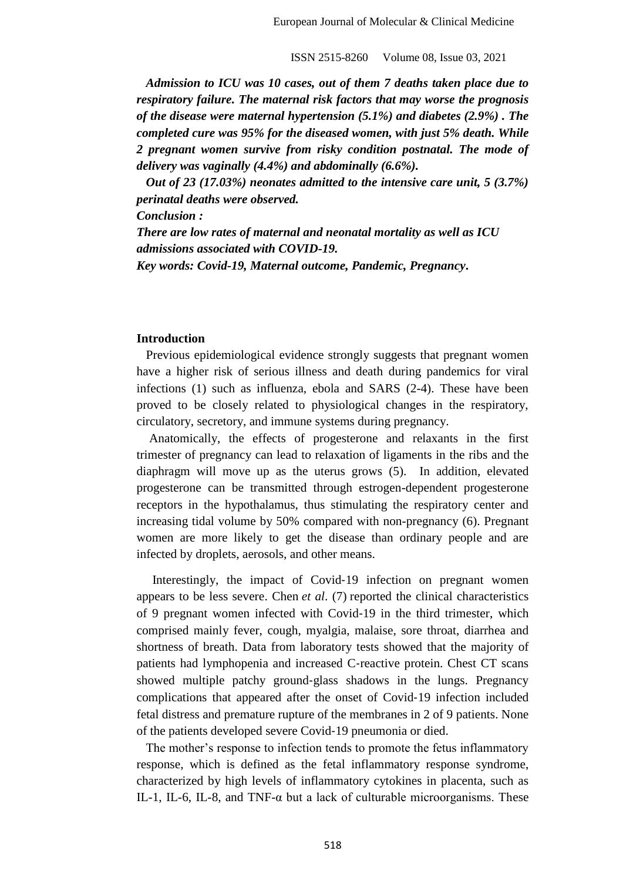*Admission to ICU was 10 cases, out of them 7 deaths taken place due to respiratory failure. The maternal risk factors that may worse the prognosis of the disease were maternal hypertension (5.1%) and diabetes (2.9%) . The completed cure was 95% for the diseased women, with just 5% death. While 2 pregnant women survive from risky condition postnatal. The mode of delivery was vaginally (4.4%) and abdominally (6.6%).* 

 *Out of 23 (17.03%) neonates admitted to the intensive care unit, 5 (3.7%) perinatal deaths were observed.*

*Conclusion :*

*There are low rates of maternal and neonatal mortality as well as ICU admissions associated with COVID-19.* 

*Key words: Covid-19, Maternal outcome, Pandemic, Pregnancy***.** 

### **Introduction**

Previous epidemiological evidence strongly suggests that pregnant women have a higher risk of serious illness and death during pandemics for viral infections (1) such as influenza, ebola and SARS (2-4). These have been proved to be closely related to physiological changes in the respiratory, circulatory, secretory, and immune systems during pregnancy.

 Anatomically, the effects of progesterone and relaxants in the first trimester of pregnancy can lead to relaxation of ligaments in the ribs and the diaphragm will move up as the uterus grows (5). In addition, elevated progesterone can be transmitted through estrogen-dependent progesterone receptors in the hypothalamus, thus stimulating the respiratory center and increasing tidal volume by 50% compared with non-pregnancy (6). Pregnant women are more likely to get the disease than ordinary people and are infected by droplets, aerosols, and other means.

Interestingly, the impact of Covid-19 infection on pregnant women appears to be less severe. Chen *et al*. (7) reported the clinical characteristics of 9 pregnant women infected with Covid‐19 in the third trimester, which comprised mainly fever, cough, myalgia, malaise, sore throat, diarrhea and shortness of breath. Data from laboratory tests showed that the majority of patients had lymphopenia and increased C‐reactive protein. Chest CT scans showed multiple patchy ground‐glass shadows in the lungs. Pregnancy complications that appeared after the onset of Covid‐19 infection included fetal distress and premature rupture of the membranes in 2 of 9 patients. None of the patients developed severe Covid‐19 pneumonia or died.

 The mother's response to infection tends to promote the fetus inflammatory response, which is defined as the fetal inflammatory response syndrome, characterized by high levels of inflammatory cytokines in placenta, such as IL-1, IL-6, IL-8, and TNF- $\alpha$  but a lack of culturable microorganisms. These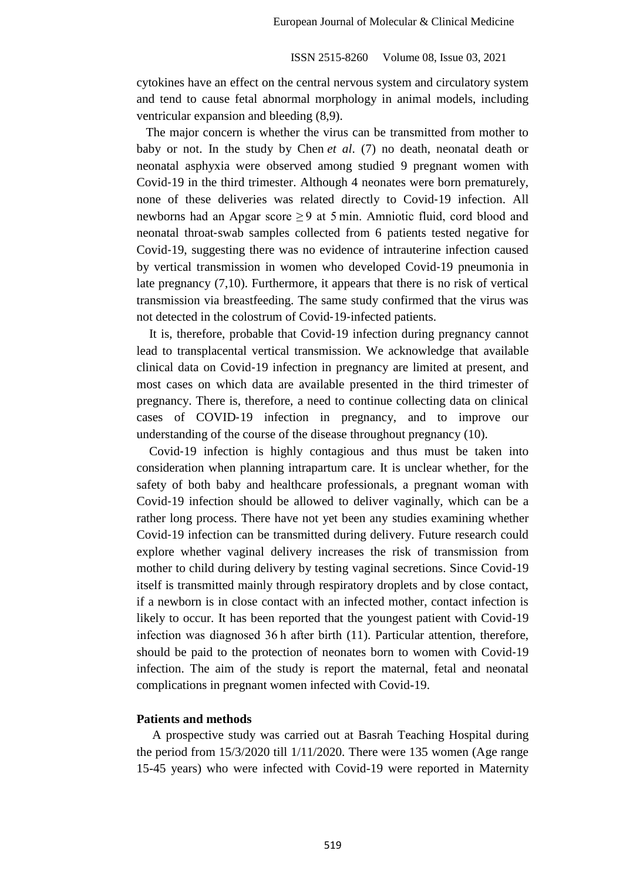cytokines have an effect on the central nervous system and circulatory system and tend to cause fetal abnormal morphology in animal models, including ventricular expansion and bleeding (8,9).

 The major concern is whether the virus can be transmitted from mother to baby or not. In the study by Chen *et al*. (7) no death, neonatal death or neonatal asphyxia were observed among studied 9 pregnant women with Covid‐19 in the third trimester. Although 4 neonates were born prematurely, none of these deliveries was related directly to Covid‐19 infection. All newborns had an Apgar score ≥ 9 at 5 min. Amniotic fluid, cord blood and neonatal throat‐swab samples collected from 6 patients tested negative for Covid‐19, suggesting there was no evidence of intrauterine infection caused by vertical transmission in women who developed Covid‐19 pneumonia in late pregnancy (7,10). Furthermore, it appears that there is no risk of vertical transmission via breastfeeding. The same study confirmed that the virus was not detected in the colostrum of Covid‐19‐infected patients.

 It is, therefore, probable that Covid‐19 infection during pregnancy cannot lead to transplacental vertical transmission. We acknowledge that available clinical data on Covid‐19 infection in pregnancy are limited at present, and most cases on which data are available presented in the third trimester of pregnancy. There is, therefore, a need to continue collecting data on clinical cases of COVID‐19 infection in pregnancy, and to improve our understanding of the course of the disease throughout pregnancy (10).

 Covid‐19 infection is highly contagious and thus must be taken into consideration when planning intrapartum care. It is unclear whether, for the safety of both baby and healthcare professionals, a pregnant woman with Covid‐19 infection should be allowed to deliver vaginally, which can be a rather long process. There have not yet been any studies examining whether Covid‐19 infection can be transmitted during delivery. Future research could explore whether vaginal delivery increases the risk of transmission from mother to child during delivery by testing vaginal secretions. Since Covid‐19 itself is transmitted mainly through respiratory droplets and by close contact, if a newborn is in close contact with an infected mother, contact infection is likely to occur. It has been reported that the youngest patient with Covid‐19 infection was diagnosed 36 h after birth (11). Particular attention, therefore, should be paid to the protection of neonates born to women with Covid‐19 infection. The aim of the study is report the maternal, fetal and neonatal complications in pregnant women infected with Covid-19.

#### **Patients and methods**

 A prospective study was carried out at Basrah Teaching Hospital during the period from 15/3/2020 till 1/11/2020. There were 135 women (Age range 15-45 years) who were infected with Covid-19 were reported in Maternity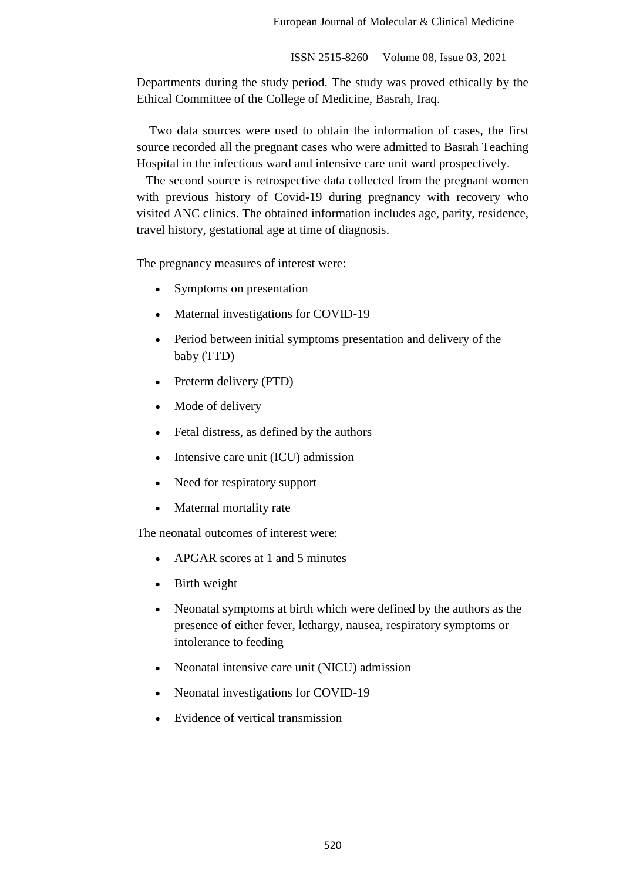Departments during the study period. The study was proved ethically by the Ethical Committee of the College of Medicine, Basrah, Iraq.

 Two data sources were used to obtain the information of cases, the first source recorded all the pregnant cases who were admitted to Basrah Teaching Hospital in the infectious ward and intensive care unit ward prospectively.

 The second source is retrospective data collected from the pregnant women with previous history of Covid-19 during pregnancy with recovery who visited ANC clinics. The obtained information includes age, parity, residence, travel history, gestational age at time of diagnosis.

The pregnancy measures of interest were:

- Symptoms on presentation
- Maternal investigations for COVID-19
- Period between initial symptoms presentation and delivery of the baby (TTD)
- Preterm delivery (PTD)
- Mode of delivery
- Fetal distress, as defined by the authors
- Intensive care unit (ICU) admission
- Need for respiratory support
- Maternal mortality rate

The neonatal outcomes of interest were:

- APGAR scores at 1 and 5 minutes
- Birth weight
- Neonatal symptoms at birth which were defined by the authors as the presence of either fever, lethargy, nausea, respiratory symptoms or intolerance to feeding
- Neonatal intensive care unit (NICU) admission
- Neonatal investigations for COVID-19
- Evidence of vertical transmission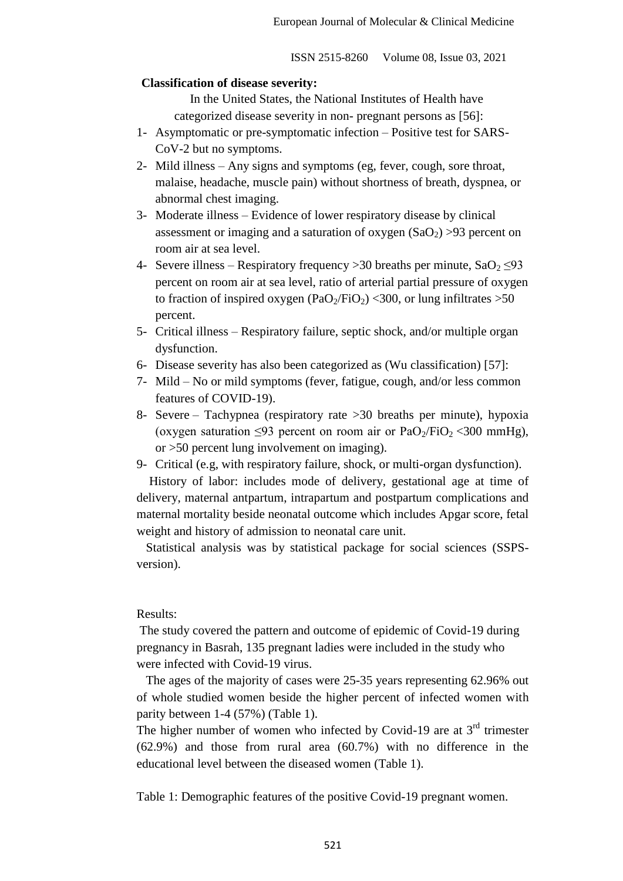#### **Classification of disease severity:**

 In the United States, the National Institutes of Health have categorized disease severity in non- pregnant persons as [56]:

- 1- Asymptomatic or pre-symptomatic infection Positive test for SARS-CoV-2 but no symptoms.
- 2- Mild illness Any signs and symptoms (eg, fever, cough, sore throat, malaise, headache, muscle pain) without shortness of breath, dyspnea, or abnormal chest imaging.
- 3- Moderate illness Evidence of lower respiratory disease by clinical assessment or imaging and a saturation of oxygen  $(SaO<sub>2</sub>) > 93$  percent on room air at sea level.
- 4- Severe illness Respiratory frequency > 30 breaths per minute,  $SaO<sub>2</sub> \leq 93$ percent on room air at sea level, ratio of arterial partial pressure of oxygen to fraction of inspired oxygen  $(PaO_2/FiO_2)$  <300, or lung infiltrates >50 percent.
- 5- Critical illness Respiratory failure, septic shock, and/or multiple organ dysfunction.
- 6- Disease severity has also been categorized as (Wu classification) [57]:
- 7- Mild No or mild symptoms (fever, fatigue, cough, and/or less common features of COVID-19).
- 8- Severe Tachypnea (respiratory rate >30 breaths per minute), hypoxia (oxygen saturation <93 percent on room air or  $PaO<sub>2</sub>/FiO<sub>2</sub>$  <300 mmHg), or >50 percent lung involvement on imaging).
- 9- Critical (e.g, with respiratory failure, shock, or multi-organ dysfunction).

 History of labor: includes mode of delivery, gestational age at time of delivery, maternal antpartum, intrapartum and postpartum complications and maternal mortality beside neonatal outcome which includes Apgar score, fetal weight and history of admission to neonatal care unit.

 Statistical analysis was by statistical package for social sciences (SSPSversion).

#### Results:

The study covered the pattern and outcome of epidemic of Covid-19 during pregnancy in Basrah, 135 pregnant ladies were included in the study who were infected with Covid-19 virus.

 The ages of the majority of cases were 25-35 years representing 62.96% out of whole studied women beside the higher percent of infected women with parity between 1-4 (57%) (Table 1).

The higher number of women who infected by Covid-19 are at  $3<sup>rd</sup>$  trimester (62.9%) and those from rural area (60.7%) with no difference in the educational level between the diseased women (Table 1).

Table 1: Demographic features of the positive Covid-19 pregnant women.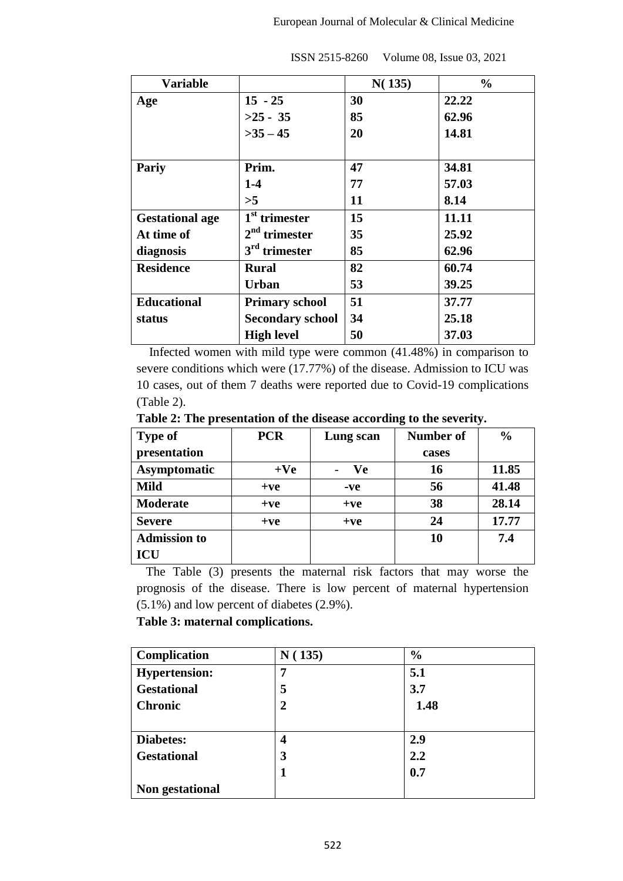| <b>Variable</b>        |                         | N(135) | $\frac{0}{0}$ |
|------------------------|-------------------------|--------|---------------|
| Age                    | $15 - 25$               | 30     | 22.22         |
|                        | $>25 - 35$              | 85     | 62.96         |
|                        | $>35-45$                | 20     | 14.81         |
|                        |                         |        |               |
| Pariy                  | Prim.                   | 47     | 34.81         |
|                        | $1-4$                   | 77     | 57.03         |
|                        | >5                      | 11     | 8.14          |
| <b>Gestational age</b> | $1st$ trimester         | 15     | 11.11         |
| At time of             | $2nd$ trimester         | 35     | 25.92         |
| diagnosis              | $3rd$ trimester         | 85     | 62.96         |
| <b>Residence</b>       | <b>Rural</b>            | 82     | 60.74         |
|                        | <b>Urban</b>            | 53     | 39.25         |
| <b>Educational</b>     | <b>Primary school</b>   | 51     | 37.77         |
| status                 | <b>Secondary school</b> | 34     | 25.18         |
|                        | <b>High level</b>       | 50     | 37.03         |

 Infected women with mild type were common (41.48%) in comparison to severe conditions which were (17.77%) of the disease. Admission to ICU was 10 cases, out of them 7 deaths were reported due to Covid-19 complications (Table 2).

**Table 2: The presentation of the disease according to the severity.**

| <b>Type of</b>      | <b>PCR</b> | Lung scan | <b>Number of</b> | $\frac{0}{0}$ |
|---------------------|------------|-----------|------------------|---------------|
| presentation        |            |           | cases            |               |
| Asymptomatic        | $+Ve$      | <b>Ve</b> | 16               | 11.85         |
| <b>Mild</b>         | $+ve$      | -ve       | 56               | 41.48         |
| <b>Moderate</b>     | $+ve$      | $+ve$     | 38               | 28.14         |
| <b>Severe</b>       | $+ve$      | $+ve$     | 24               | 17.77         |
| <b>Admission to</b> |            |           | 10               | 7.4           |
| ICU                 |            |           |                  |               |

The Table (3) presents the maternal risk factors that may worse the prognosis of the disease. There is low percent of maternal hypertension (5.1%) and low percent of diabetes (2.9%).

# **Table 3: maternal complications.**

| Complication         | N(135) | $\frac{6}{6}$ |
|----------------------|--------|---------------|
| <b>Hypertension:</b> | 7      | 5.1           |
| <b>Gestational</b>   | 5      | 3.7           |
| <b>Chronic</b>       | 2      | 1.48          |
|                      |        |               |
| Diabetes:            | 4      | 2.9           |
| <b>Gestational</b>   | 3      | 2.2           |
|                      |        | 0.7           |
| Non gestational      |        |               |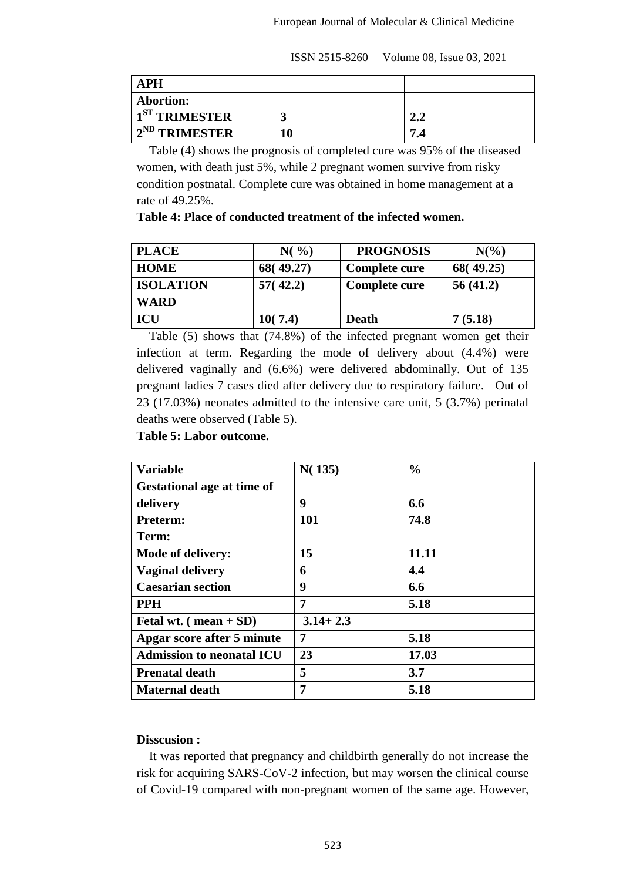| <b>APH</b>          |    |                  |
|---------------------|----|------------------|
| <b>Abortion:</b>    |    |                  |
| $1ST$ TRIMESTER     |    | <b>CO</b><br>∠.∟ |
| $+2^{ND}$ TRIMESTER | 10 | 7.4              |

 Table (4) shows the prognosis of completed cure was 95% of the diseased women, with death just 5%, while 2 pregnant women survive from risky condition postnatal. Complete cure was obtained in home management at a rate of 49.25%.

**Table 4: Place of conducted treatment of the infected women.**

| <b>PLACE</b>     | $N($ %)   | <b>PROGNOSIS</b> | $N\binom{0}{0}$ |
|------------------|-----------|------------------|-----------------|
| <b>HOME</b>      | 68(49.27) | Complete cure    | 68(49.25)       |
| <b>ISOLATION</b> | 57(42.2)  | Complete cure    | 56(41.2)        |
| <b>WARD</b>      |           |                  |                 |
| <b>ICU</b>       | 10(7.4)   | <b>Death</b>     | 7(5.18)         |

Table (5) shows that (74.8%) of the infected pregnant women get their infection at term. Regarding the mode of delivery about (4.4%) were delivered vaginally and (6.6%) were delivered abdominally. Out of 135 pregnant ladies 7 cases died after delivery due to respiratory failure. Out of 23 (17.03%) neonates admitted to the intensive care unit, 5 (3.7%) perinatal deaths were observed (Table 5).

**Table 5: Labor outcome.**

| <b>Variable</b>                       | N(135)       | $\frac{0}{0}$ |
|---------------------------------------|--------------|---------------|
| <b>Gestational age at time of</b>     |              |               |
| delivery                              | 9            | 6.6           |
| Preterm:                              | 101          | 74.8          |
| Term:                                 |              |               |
| Mode of delivery:                     | 15           | 11.11         |
| <b>Vaginal delivery</b>               | 6            | 4.4           |
| <b>Caesarian section</b>              | 9            | 6.6           |
| <b>PPH</b>                            | 7            | 5.18          |
| Fetal wt. $(\text{mean} + \text{SD})$ | $3.14 + 2.3$ |               |
| Apgar score after 5 minute            | 7            | 5.18          |
| <b>Admission to neonatal ICU</b>      | 23           | 17.03         |
| <b>Prenatal death</b>                 | 5            | 3.7           |
| <b>Maternal death</b>                 | 7            | 5.18          |

#### **Disscusion :**

 It was reported that pregnancy and childbirth generally do not increase the risk for acquiring SARS-CoV-2 infection, but may worsen the clinical course of Covid-19 compared with non-pregnant women of the same age. However,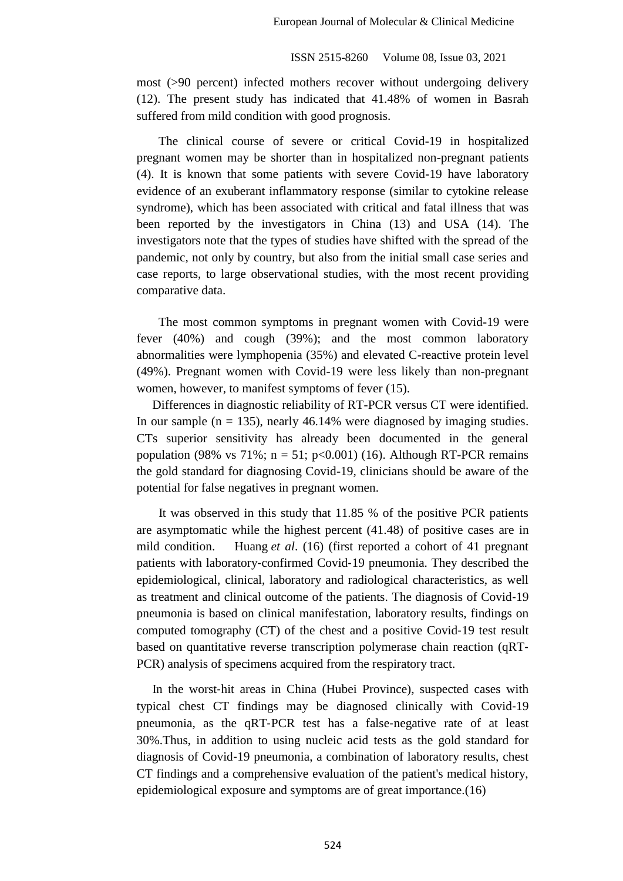most (>90 percent) infected mothers recover without undergoing delivery (12). The present study has indicated that 41.48% of women in Basrah suffered from mild condition with good prognosis.

 The clinical course of severe or critical Covid-19 in hospitalized pregnant women may be shorter than in hospitalized non-pregnant patients (4). It is known that some patients with severe Covid-19 have laboratory evidence of an exuberant inflammatory response (similar to cytokine release syndrome), which has been associated with critical and fatal illness that was been reported by the investigators in China (13) and USA (14). The investigators note that the types of studies have shifted with the spread of the pandemic, not only by country, but also from the initial small case series and case reports, to large observational studies, with the most recent providing comparative data.

 The most common symptoms in pregnant women with Covid-19 were fever (40%) and cough (39%); and the most common laboratory abnormalities were lymphopenia (35%) and elevated C-reactive protein level (49%). Pregnant women with Covid-19 were less likely than non-pregnant women, however, to manifest symptoms of fever (15).

 Differences in diagnostic reliability of RT-PCR versus CT were identified. In our sample  $(n = 135)$ , nearly 46.14% were diagnosed by imaging studies. CTs superior sensitivity has already been documented in the general population (98% vs 71%;  $n = 51$ ;  $p < 0.001$ ) (16). Although RT-PCR remains the gold standard for diagnosing Covid-19, clinicians should be aware of the potential for false negatives in pregnant women.

 It was observed in this study that 11.85 % of the positive PCR patients are asymptomatic while the highest percent (41.48) of positive cases are in mild condition. Huang *et al*. (16) (first reported a cohort of 41 pregnant patients with laboratory‐confirmed Covid‐19 pneumonia. They described the epidemiological, clinical, laboratory and radiological characteristics, as well as treatment and clinical outcome of the patients. The diagnosis of Covid‐19 pneumonia is based on clinical manifestation, laboratory results, findings on computed tomography (CT) of the chest and a positive Covid‐19 test result based on quantitative reverse transcription polymerase chain reaction (qRT‐ PCR) analysis of specimens acquired from the respiratory tract.

 In the worst‐hit areas in China (Hubei Province), suspected cases with typical chest CT findings may be diagnosed clinically with Covid‐19 pneumonia, as the qRT‐PCR test has a false‐negative rate of at least 30%.Thus, in addition to using nucleic acid tests as the gold standard for diagnosis of Covid‐19 pneumonia, a combination of laboratory results, chest CT findings and a comprehensive evaluation of the patient's medical history, epidemiological exposure and symptoms are of great importance.(16)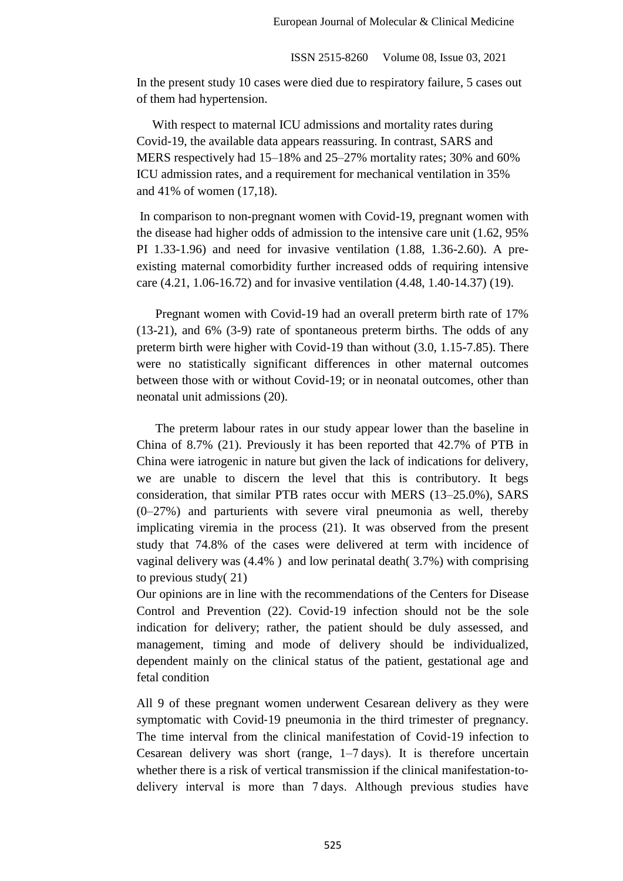In the present study 10 cases were died due to respiratory failure, 5 cases out of them had hypertension.

 With respect to maternal ICU admissions and mortality rates during Covid-19, the available data appears reassuring. In contrast, SARS and MERS respectively had 15–18% and 25–27% mortality rates; 30% and 60% ICU admission rates, and a requirement for mechanical ventilation in 35% and 41% of women (17,18).

In comparison to non-pregnant women with Covid-19, pregnant women with the disease had higher odds of admission to the intensive care unit (1.62, 95% PI 1.33-1.96) and need for invasive ventilation (1.88, 1.36-2.60). A preexisting maternal comorbidity further increased odds of requiring intensive care (4.21, 1.06-16.72) and for invasive ventilation (4.48, 1.40-14.37) (19).

 Pregnant women with Covid-19 had an overall preterm birth rate of 17% (13-21), and 6% (3-9) rate of spontaneous preterm births. The odds of any preterm birth were higher with Covid-19 than without (3.0, 1.15-7.85). There were no statistically significant differences in other maternal outcomes between those with or without Covid-19; or in neonatal outcomes, other than neonatal unit admissions (20).

 The preterm labour rates in our study appear lower than the baseline in China of 8.7% (21). Previously it has been reported that 42.7% of PTB in China were iatrogenic in nature but given the lack of indications for delivery, we are unable to discern the level that this is contributory. It begs consideration, that similar PTB rates occur with MERS (13–25.0%), SARS (0–27%) and parturients with severe viral pneumonia as well, thereby implicating viremia in the process (21). It was observed from the present study that 74.8% of the cases were delivered at term with incidence of vaginal delivery was (4.4% ) and low perinatal death( 3.7%) with comprising to previous study( 21)

Our opinions are in line with the recommendations of the Centers for Disease Control and Prevention (22). Covid‐19 infection should not be the sole indication for delivery; rather, the patient should be duly assessed, and management, timing and mode of delivery should be individualized, dependent mainly on the clinical status of the patient, gestational age and fetal condition

All 9 of these pregnant women underwent Cesarean delivery as they were symptomatic with Covid-19 pneumonia in the third trimester of pregnancy. The time interval from the clinical manifestation of Covid‐19 infection to Cesarean delivery was short (range, 1–7 days). It is therefore uncertain whether there is a risk of vertical transmission if the clinical manifestation-todelivery interval is more than 7 days. Although previous studies have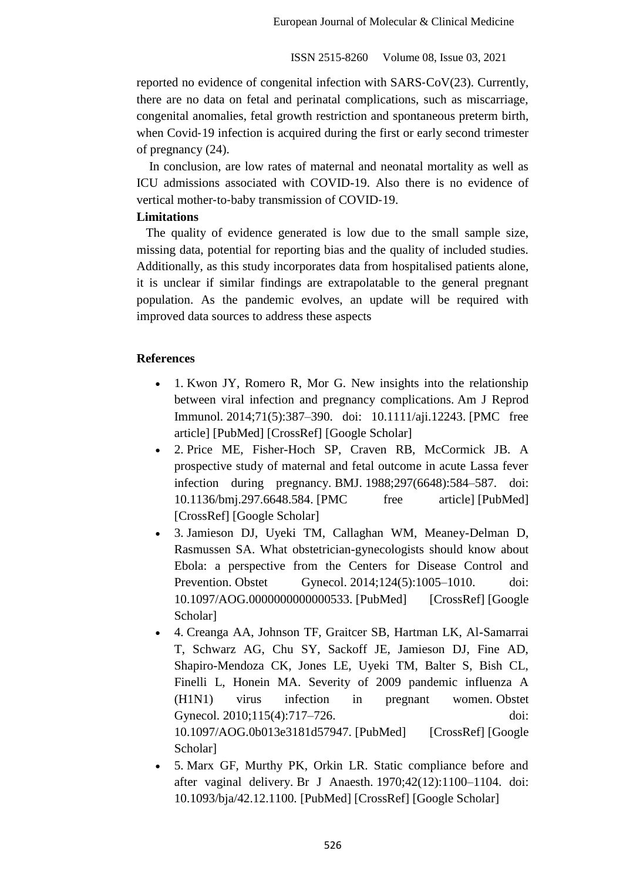reported no evidence of congenital infection with SARS‐CoV(23). Currently, there are no data on fetal and perinatal complications, such as miscarriage, congenital anomalies, fetal growth restriction and spontaneous preterm birth, when Covid-19 infection is acquired during the first or early second trimester of pregnancy (24).

 In conclusion, are low rates of maternal and neonatal mortality as well as ICU admissions associated with COVID-19. Also there is no evidence of vertical mother‐to‐baby transmission of COVID‐19.

# **Limitations**

The quality of evidence generated is low due to the small sample size, missing data, potential for reporting bias and the quality of included studies. Additionally, as this study incorporates data from hospitalised patients alone, it is unclear if similar findings are extrapolatable to the general pregnant population. As the pandemic evolves, an update will be required with improved data sources to address these aspects

# **References**

- 1. Kwon JY, Romero R, Mor G. New insights into the relationship between viral infection and pregnancy complications. Am J Reprod Immunol. 2014;71(5):387–390. doi: 10.1111/aji.12243. [PMC free article] [PubMed] [CrossRef] [Google Scholar]
- 2. Price ME, Fisher-Hoch SP, Craven RB, McCormick JB. A prospective study of maternal and fetal outcome in acute Lassa fever infection during pregnancy. BMJ. 1988;297(6648):584–587. doi: 10.1136/bmj.297.6648.584. [PMC free article] [PubMed] [CrossRef] [Google Scholar]
- 3. Jamieson DJ, Uyeki TM, Callaghan WM, Meaney-Delman D, Rasmussen SA. What obstetrician-gynecologists should know about Ebola: a perspective from the Centers for Disease Control and Prevention. Obstet Gynecol. 2014;124(5):1005–1010. doi: 10.1097/AOG.0000000000000533. [PubMed] [CrossRef] [Google Scholar]
- 4. Creanga AA, Johnson TF, Graitcer SB, Hartman LK, Al-Samarrai T, Schwarz AG, Chu SY, Sackoff JE, Jamieson DJ, Fine AD, Shapiro-Mendoza CK, Jones LE, Uyeki TM, Balter S, Bish CL, Finelli L, Honein MA. Severity of 2009 pandemic influenza A (H1N1) virus infection in pregnant women. Obstet Gynecol. 2010:115(4):717–726. doi: 10.1097/AOG.0b013e3181d57947. [PubMed] [CrossRef] [Google Scholar]
- 5. Marx GF, Murthy PK, Orkin LR. Static compliance before and after vaginal delivery. Br J Anaesth. 1970;42(12):1100–1104. doi: 10.1093/bja/42.12.1100. [PubMed] [CrossRef] [Google Scholar]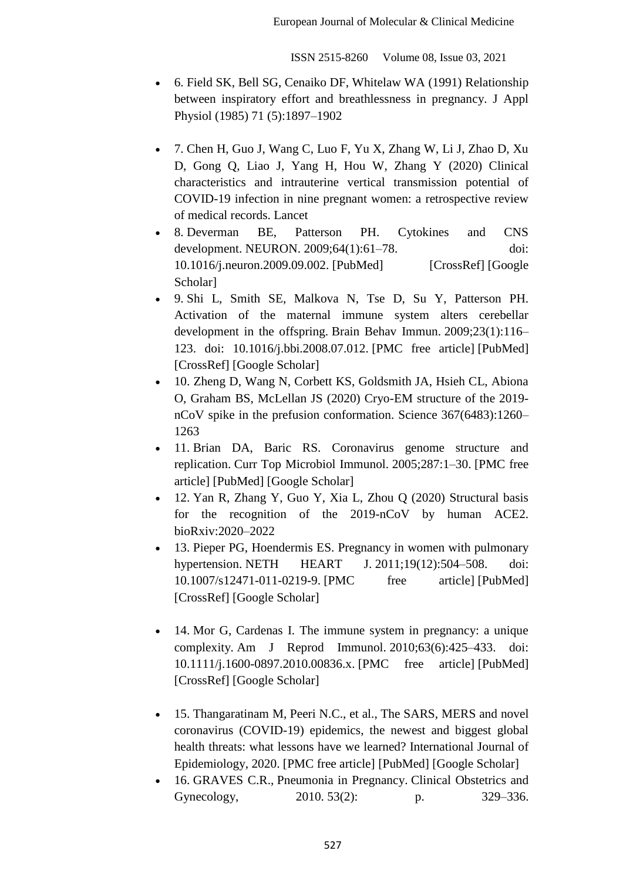- 6. Field SK, Bell SG, Cenaiko DF, Whitelaw WA (1991) Relationship between inspiratory effort and breathlessness in pregnancy. J Appl Physiol (1985) 71 (5):1897–1902
- 7. Chen H, Guo J, Wang C, Luo F, Yu X, Zhang W, Li J, Zhao D, Xu D, Gong Q, Liao J, Yang H, Hou W, Zhang Y (2020) Clinical characteristics and intrauterine vertical transmission potential of COVID-19 infection in nine pregnant women: a retrospective review of medical records. Lancet
- 8. Deverman BE, Patterson PH. Cytokines and CNS development. NEURON. 2009;64(1):61–78. doi: 10.1016/j.neuron.2009.09.002. [PubMed] [CrossRef] [Google Scholar]
- 9. Shi L, Smith SE, Malkova N, Tse D, Su Y, Patterson PH. Activation of the maternal immune system alters cerebellar development in the offspring. Brain Behav Immun. 2009;23(1):116– 123. doi: 10.1016/j.bbi.2008.07.012. [PMC free article] [PubMed] [CrossRef] [Google Scholar]
- 10. Zheng D, Wang N, Corbett KS, Goldsmith JA, Hsieh CL, Abiona O, Graham BS, McLellan JS (2020) Cryo-EM structure of the 2019 nCoV spike in the prefusion conformation. Science 367(6483):1260– 1263
- 11. Brian DA, Baric RS. Coronavirus genome structure and replication. Curr Top Microbiol Immunol. 2005;287:1–30. [PMC free article] [PubMed] [Google Scholar]
- 12. Yan R, Zhang Y, Guo Y, Xia L, Zhou Q (2020) Structural basis for the recognition of the 2019-nCoV by human ACE2. bioRxiv:2020–2022
- 13. Pieper PG, Hoendermis ES. Pregnancy in women with pulmonary hypertension. NETH HEART J. 2011;19(12):504–508. doi: 10.1007/s12471-011-0219-9. [PMC free article] [PubMed] [CrossRef] [Google Scholar]
- 14. Mor G, Cardenas I. The immune system in pregnancy: a unique complexity. Am J Reprod Immunol. 2010;63(6):425–433. doi: 10.1111/j.1600-0897.2010.00836.x. [PMC free article] [PubMed] [CrossRef] [Google Scholar]
- 15. Thangaratinam M, Peeri N.C., et al., The SARS, MERS and novel coronavirus (COVID-19) epidemics, the newest and biggest global health threats: what lessons have we learned? International Journal of Epidemiology, 2020. [PMC free article] [PubMed] [Google Scholar]
- 16. GRAVES C.R., Pneumonia in Pregnancy. Clinical Obstetrics and Gynecology, 2010. 53(2): p. 329–336.